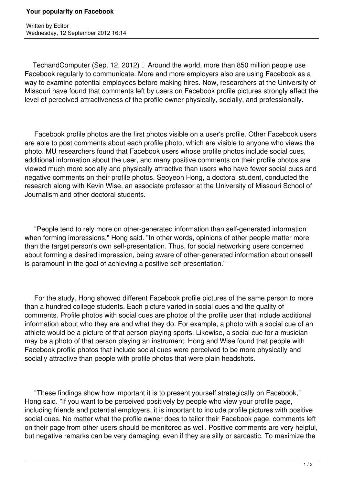TechandComputer (Sep. 12, 2012)  $\Box$  Around the world, more than 850 million people use Facebook regularly to communicate. More and more employers also are using Facebook as a way to examine potential employees before making hires. Now, researchers at the University of Missouri have found that comments left by users on Facebook profile pictures strongly affect the level of perceived attractiveness of the profile owner physically, socially, and professionally.

 Facebook profile photos are the first photos visible on a user's profile. Other Facebook users are able to post comments about each profile photo, which are visible to anyone who views the photo. MU researchers found that Facebook users whose profile photos include social cues, additional information about the user, and many positive comments on their profile photos are viewed much more socially and physically attractive than users who have fewer social cues and negative comments on their profile photos. Seoyeon Hong, a doctoral student, conducted the research along with Kevin Wise, an associate professor at the University of Missouri School of Journalism and other doctoral students.

 "People tend to rely more on other-generated information than self-generated information when forming impressions," Hong said. "In other words, opinions of other people matter more than the target person's own self-presentation. Thus, for social networking users concerned about forming a desired impression, being aware of other-generated information about oneself is paramount in the goal of achieving a positive self-presentation."

 For the study, Hong showed different Facebook profile pictures of the same person to more than a hundred college students. Each picture varied in social cues and the quality of comments. Profile photos with social cues are photos of the profile user that include additional information about who they are and what they do. For example, a photo with a social cue of an athlete would be a picture of that person playing sports. Likewise, a social cue for a musician may be a photo of that person playing an instrument. Hong and Wise found that people with Facebook profile photos that include social cues were perceived to be more physically and socially attractive than people with profile photos that were plain headshots.

 "These findings show how important it is to present yourself strategically on Facebook," Hong said. "If you want to be perceived positively by people who view your profile page, including friends and potential employers, it is important to include profile pictures with positive social cues. No matter what the profile owner does to tailor their Facebook page, comments left on their page from other users should be monitored as well. Positive comments are very helpful, but negative remarks can be very damaging, even if they are silly or sarcastic. To maximize the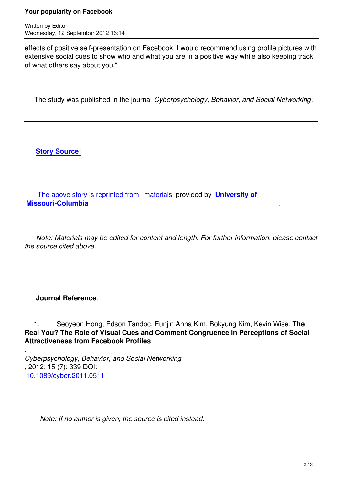Written by Editor and Editor and Editor and Editor and Editor and Editor and Editor and Editor and Editor and

effects of positive self-presentation on Facebook, I would recommend using profile pictures with extensive social cues to show who and what you are in a positive way while also keeping track of what others say about you."

The study was published in the journal *Cyberpsychology, Behavior, and Social Networking*.

**Story Source:**

## The above story is reprinted from materials provided by **University of Missouri-Columbia** .

 *[Note: Materials m](http://www.missouri.edu)ay be edited for content and length. For further information, please contact the source cited above.*

## **Journal Reference**:

 1. Seoyeon Hong, Edson Tandoc, Eunjin Anna Kim, Bokyung Kim, Kevin Wise. **The Real You? The Role of Visual Cues and Comment Congruence in Perceptions of Social Attractiveness from Facebook Profiles**

. *Cyberpsychology, Behavior, and Social Networking* , 2012; 15 (7): 339 DOI: 10.1089/cyber.2011.0511

*Note: If no author is given, the source is cited instead.*